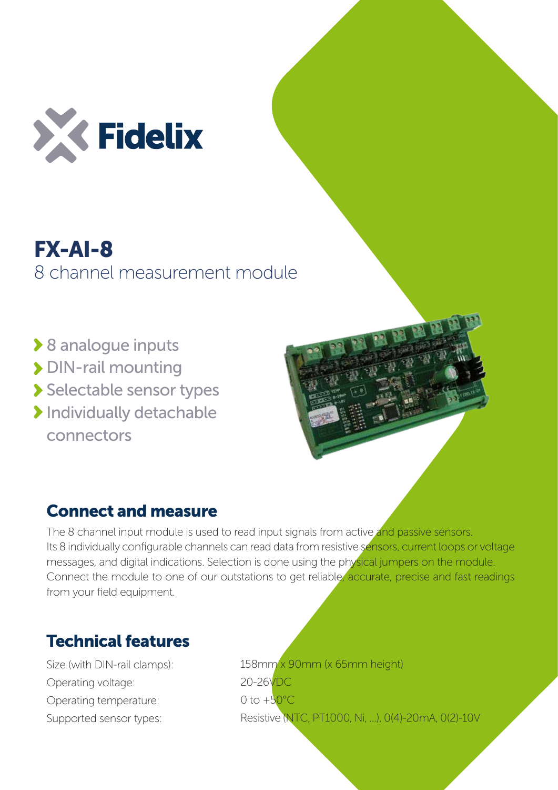

## FX-AI-8 8 channel measurement module

- **▶ 8 analogue inputs**
- > DIN-rail mounting
- Selectable sensor types
- **Individually detachable** connectors



## Connect and measure

The 8 channel input module is used to read input signals from active and passive sensors. Its 8 individually configurable channels can read data from resistive sensors, current loops or voltage messages, and digital indications. Selection is done using the physical jumpers on the module. Connect the module to one of our outstations to get reliable, accurate, precise and fast readings from your field equipment.

## Technical features

Size (with DIN-rail clamps): Operating voltage: Operating temperature: Supported sensor types:

158mm x 90mm (x 65mm height) 20-26VDC 0 to  $+50^{\circ}$ C Resistive (NTC, PT1000, Ni, ...), 0(4)-20mA, 0(2)-10V